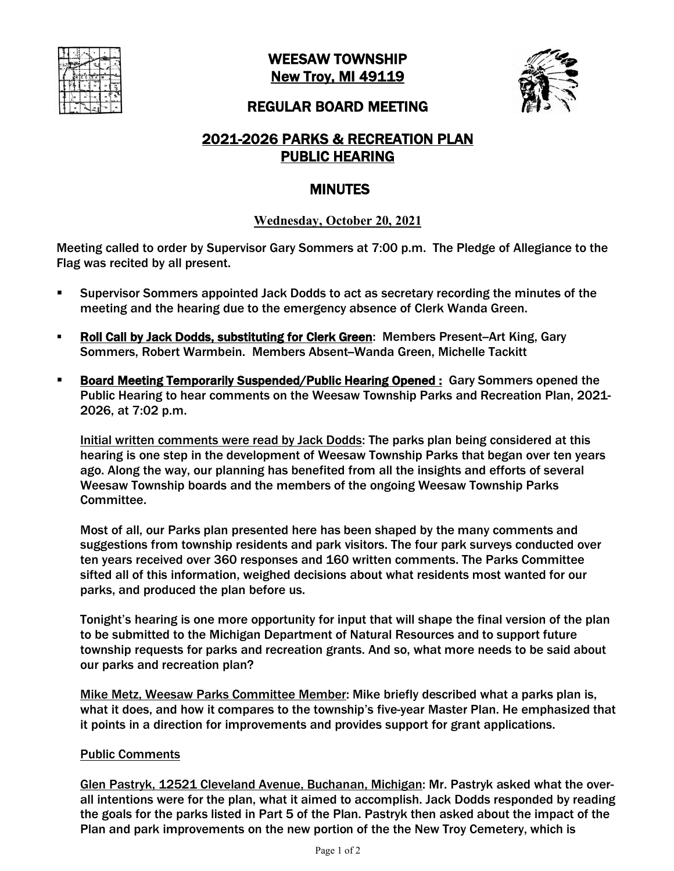

WEESAW TOWNSHIP New Troy, MI 49119



#### REGULAR BOARD MEETING

# 2021-2026 PARKS & RECREATION PLAN PUBLIC HEARING

# MINUTES

### **Wednesday, October 20, 2021**

Meeting called to order by Supervisor Gary Sommers at 7:00 p.m. The Pledge of Allegiance to the Flag was recited by all present.

- § Supervisor Sommers appointed Jack Dodds to act as secretary recording the minutes of the meeting and the hearing due to the emergency absence of Clerk Wanda Green.
- Roll Call by Jack Dodds, substituting for Clerk Green: Members Present-Art King, Gary Sommers, Robert Warmbein. Members Absent-Wanda Green, Michelle Tackitt
- **Board Meeting Temporarily Suspended/Public Hearing Opened :** Gary Sommers opened the Public Hearing to hear comments on the Weesaw Township Parks and Recreation Plan, 2021- 2026, at 7:02 p.m.

Initial written comments were read by Jack Dodds: The parks plan being considered at this hearing is one step in the development of Weesaw Township Parks that began over ten years ago. Along the way, our planning has benefited from all the insights and efforts of several Weesaw Township boards and the members of the ongoing Weesaw Township Parks Committee.

Most of all, our Parks plan presented here has been shaped by the many comments and suggestions from township residents and park visitors. The four park surveys conducted over ten years received over 360 responses and 160 written comments. The Parks Committee sifted all of this information, weighed decisions about what residents most wanted for our parks, and produced the plan before us.

Tonight's hearing is one more opportunity for input that will shape the final version of the plan to be submitted to the Michigan Department of Natural Resources and to support future township requests for parks and recreation grants. And so, what more needs to be said about our parks and recreation plan?

Mike Metz, Weesaw Parks Committee Member: Mike briefly described what a parks plan is, what it does, and how it compares to the township's five-year Master Plan. He emphasized that it points in a direction for improvements and provides support for grant applications.

#### Public Comments

Glen Pastryk, 12521 Cleveland Avenue, Buchanan, Michigan: Mr. Pastryk asked what the overall intentions were for the plan, what it aimed to accomplish. Jack Dodds responded by reading the goals for the parks listed in Part 5 of the Plan. Pastryk then asked about the impact of the Plan and park improvements on the new portion of the the New Troy Cemetery, which is